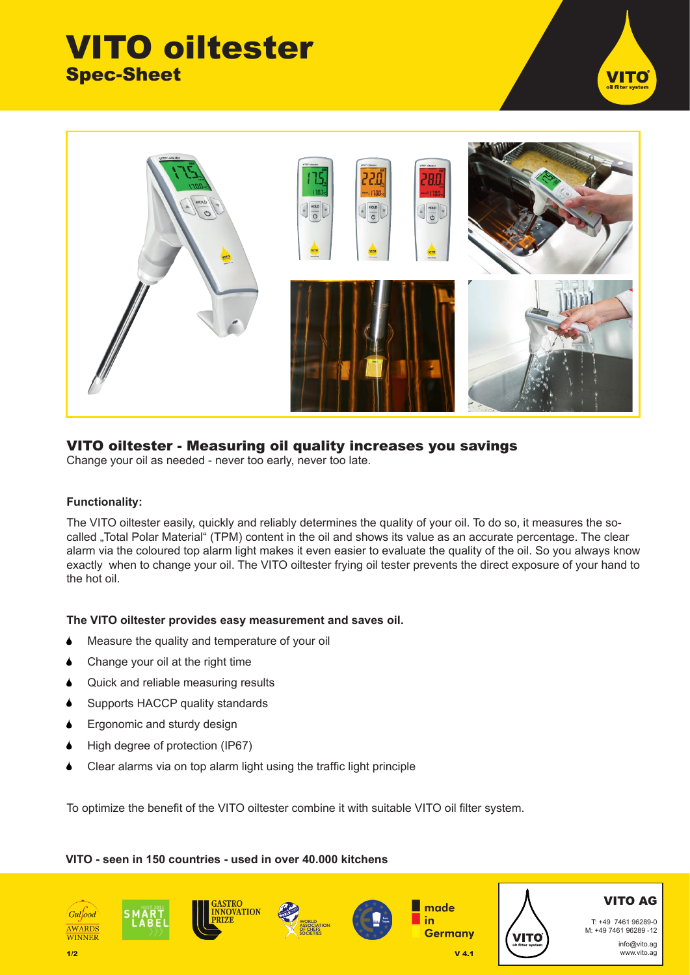# VITO oiltester Spec-Sheet





### VITO oiltester - Measuring oil quality increases you savings

Change your oil as needed - never too early, never too late.

#### **Functionality:**

The VITO oiltester easily, quickly and reliably determines the quality of your oil. To do so, it measures the socalled "Total Polar Material" (TPM) content in the oil and shows its value as an accurate percentage. The clear alarm via the coloured top alarm light makes it even easier to evaluate the quality of the oil. So you always know exactly when to change your oil. The VITO oiltester frying oil tester prevents the direct exposure of your hand to the hot oil.

#### **The VITO oiltester provides easy measurement and saves oil.**

- Measure the quality and temperature of your oil
- Change your oil at the right time
- Quick and reliable measuring results
- Supports HACCP quality standards
- **•** Ergonomic and sturdy design
- High degree of protection (IP67)
- Clear alarms via on top alarm light using the traffic light principle

To optimize the benefit of the VITO oiltester combine it with suitable VITO oil filter system.

#### **VITO - seen in 150 countries - used in over 40.000 kitchens**